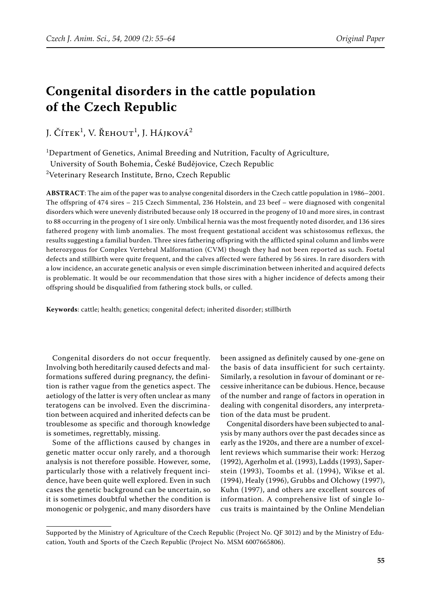# **Congenital disorders in the cattle population of the Czech Republic**

J. Čítek $^1$ , V. Řehout $^1$ , J. Hájková $^2$ 

<sup>1</sup>Department of Genetics, Animal Breeding and Nutrition, Faculty of Agriculture, University of South Bohemia, České Budějovice, Czech Republic 2 Veterinary Research Institute, Brno, Czech Republic

**ABSTRACT**: The aim of the paper was to analyse congenital disorders in the Czech cattle population in 1986–2001. The offspring of 474 sires – 215 Czech Simmental, 236 Holstein, and 23 beef – were diagnosed with congenital disorders which were unevenly distributed because only 18 occurred in the progeny of 10 and more sires, in contrast to 88 occurring in the progeny of 1 sire only. Umbilical hernia was the most frequently noted disorder, and 136 sires fathered progeny with limb anomalies. The most frequent gestational accident was schistosomus reflexus, the results suggesting a familial burden. Three sires fathering offspring with the afflicted spinal column and limbs were heterozygous for Complex Vertebral Malformation (CVM) though they had not been reported as such. Foetal defects and stillbirth were quite frequent, and the calves affected were fathered by 56 sires. In rare disorders with a low incidence, an accurate genetic analysis or even simple discrimination between inherited and acquired defects is problematic. It would be our recommendation that those sires with a higher incidence of defects among their offspring should be disqualified from fathering stock bulls, or culled.

**Keywords**: cattle; health; genetics; congenital defect; inherited disorder; stillbirth

Congenital disorders do not occur frequently. Involving both hereditarily caused defects and malformations suffered during pregnancy, the definition is rather vague from the genetics aspect. The aetiology of the latter is very often unclear as many teratogens can be involved. Even the discrimination between acquired and inherited defects can be troublesome as specific and thorough knowledge is sometimes, regrettably, missing.

Some of the afflictions caused by changes in genetic matter occur only rarely, and a thorough analysis is not therefore possible. However, some, particularly those with a relatively frequent incidence, have been quite well explored. Even in such cases the genetic background can be uncertain, so it is sometimes doubtful whether the condition is monogenic or polygenic, and many disorders have been assigned as definitely caused by one-gene on the basis of data insufficient for such certainty. Similarly, a resolution in favour of dominant or recessive inheritance can be dubious. Hence, because of the number and range of factors in operation in dealing with congenital disorders, any interpretation of the data must be prudent.

Congenital disorders have been subjected to analysis by many authors over the past decades since as early as the 1920s, and there are a number of excellent reviews which summarise their work: Herzog (1992), Agerholm et al. (1993), Ladds (1993), Saperstein (1993), Toombs et al. (1994), Wikse et al. (1994), Healy (1996), Grubbs and Olchowy (1997), Kuhn (1997), and others are excellent sources of information. A comprehensive list of single locus traits is maintained by the Online Mendelian

Supported by the Ministry of Agriculture of the Czech Republic (Project No. QF 3012) and by the Ministry of Education, Youth and Sports of the Czech Republic (Project No. MSM 6007665806).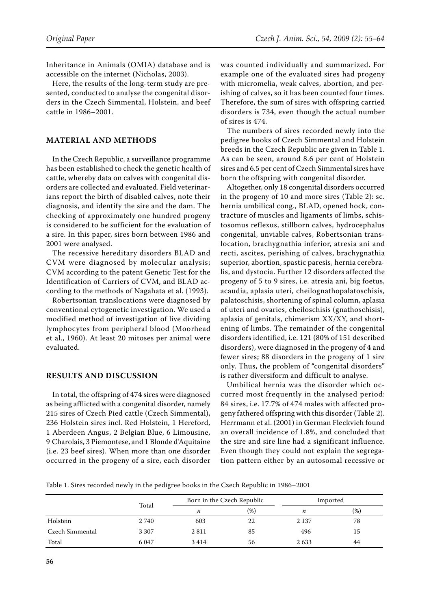Inheritance in Animals (OMIA) database and is accessible on the internet (Nicholas, 2003).

Here, the results of the long-term study are presented, conducted to analyse the congenital disorders in the Czech Simmental, Holstein, and beef cattle in 1986–2001.

## **MATERIAL AND METHODS**

In the Czech Republic, a surveillance programme has been established to check the genetic health of cattle, whereby data on calves with congenital disorders are collected and evaluated. Field veterinarians report the birth of disabled calves, note their diagnosis, and identify the sire and the dam. The checking of approximately one hundred progeny is considered to be sufficient for the evaluation of a sire. In this paper, sires born between 1986 and 2001 were analysed.

The recessive hereditary disorders BLAD and CVM were diagnosed by molecular analysis; CVM according to the patent Genetic Test for the Identification of Carriers of CVM, and BLAD according to the methods of Nagahata et al. (1993).

Robertsonian translocations were diagnosed by conventional cytogenetic investigation. We used a modified method of investigation of live dividing lymphocytes from peripheral blood (Moorhead et al., 1960). At least 20 mitoses per animal were evaluated.

#### **RESULTS AND DISCUSSION**

In total, the offspring of 474 sires were diagnosed as being afflicted with a congenital disorder, namely 215 sires of Czech Pied cattle (Czech Simmental), 236 Holstein sires incl. Red Holstein, 1 Hereford, 1 Aberdeen Angus, 2 Belgian Blue, 6 Limousine, 9 Charolais, 3 Piemontese, and 1 Blonde d'Aquitaine (i.e. 23 beef sires). When more than one disorder occurred in the progeny of a sire, each disorder was counted individually and summarized. For example one of the evaluated sires had progeny with micromelia, weak calves, abortion, and perishing of calves, so it has been counted four times. Therefore, the sum of sires with offspring carried disorders is 734, even though the actual number of sires is 474.

The numbers of sires recorded newly into the pedigree books of Czech Simmental and Holstein breeds in the Czech Republic are given in Table 1. As can be seen, around 8.6 per cent of Holstein sires and 6.5 per cent of Czech Simmental sires have born the offspring with congenital disorder.

Altogether, only 18 congenital disorders occurred in the progeny of 10 and more sires (Table 2): sc. hernia umbilical cong., BLAD, opened hock, contracture of muscles and ligaments of limbs, schistosomus reflexus, stillborn calves, hydrocephalus congenital, unviable calves, Robertsonian translocation, brachygnathia inferior, atresia ani and recti, ascites, perishing of calves, brachygnathia superior, abortion, spastic paresis, hernia cerebralis, and dystocia. Further 12 disorders affected the progeny of 5 to 9 sires, i.e. atresia ani, big foetus, acaudia, aplasia uteri, cheilognathopalatoschisis, palatoschisis, shortening of spinal column, aplasia of uteri and ovaries, cheiloschisis (gnathoschisis), aplasia of genitals, chimerism XX/XY, and shortening of limbs. The remainder of the congenital disorders identified, i.e. 121 (80% of 151 described disorders), were diagnosed in the progeny of 4 and fewer sires; 88 disorders in the progeny of 1 sire only. Thus, the problem of "congenital disorders" is rather diversiform and difficult to analyse.

Umbilical hernia was the disorder which occurred most frequently in the analysed period: 84 sires, i.e. 17.7% of 474 males with affected progeny fathered offspring with this disorder (Table 2). Herrmann et al. (2001) in German Fleckvieh found an overall incidence of 1.8%, and concluded that the sire and sire line had a significant influence. Even though they could not explain the segregation pattern either by an autosomal recessive or

Table 1. Sires recorded newly in the pedigree books in the Czech Republic in 1986–2001

|                 | Total   | Born in the Czech Republic |        | Imported |     |
|-----------------|---------|----------------------------|--------|----------|-----|
|                 |         | n                          | $(\%)$ | п        | (%) |
| Holstein        | 2 7 4 0 | 603                        | 22     | 2 1 3 7  | 78  |
| Czech Simmental | 3 3 0 7 | 2811                       | 85     | 496      | 15  |
| Total           | 6 0 4 7 | 3414                       | 56     | 2633     | 44  |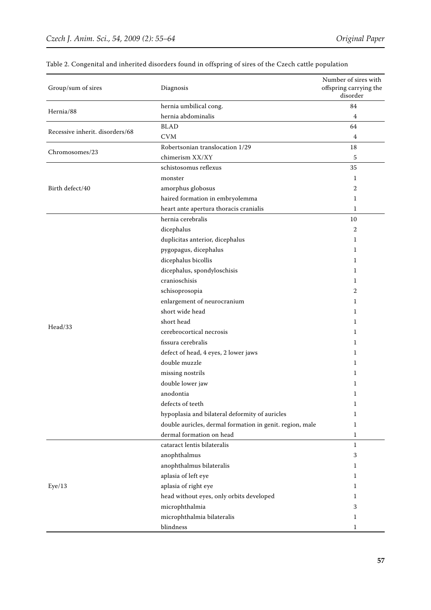| Group/sum of sires              | Diagnosis                                                | Number of sires with<br>offspring carrying the<br>disorder |
|---------------------------------|----------------------------------------------------------|------------------------------------------------------------|
| Hernia/88                       | hernia umbilical cong.                                   | 84                                                         |
|                                 | hernia abdominalis                                       | 4                                                          |
|                                 | <b>BLAD</b>                                              | 64                                                         |
| Recessive inherit. disorders/68 | <b>CVM</b>                                               | 4                                                          |
|                                 | Robertsonian translocation 1/29                          | 18                                                         |
| Chromosomes/23                  | chimerism XX/XY                                          | 5                                                          |
|                                 | schistosomus reflexus                                    | 35                                                         |
|                                 | monster                                                  | 1                                                          |
| Birth defect/40                 | amorphus globosus                                        | 2                                                          |
|                                 | haired formation in embryolemma                          | 1                                                          |
|                                 | heart ante apertura thoracis cranialis                   | 1                                                          |
|                                 | hernia cerebralis                                        | 10                                                         |
|                                 | dicephalus                                               | 2                                                          |
|                                 | duplicitas anterior, dicephalus                          | 1                                                          |
|                                 | pygopagus, dicephalus                                    | 1                                                          |
|                                 | dicephalus bicollis                                      | 1                                                          |
|                                 | dicephalus, spondyloschisis                              | 1                                                          |
|                                 | cranioschisis                                            | 1                                                          |
|                                 | schisoprosopia                                           | 2                                                          |
|                                 | enlargement of neurocranium                              | 1                                                          |
|                                 | short wide head                                          | 1                                                          |
|                                 | short head                                               | 1                                                          |
| Head/33                         | cerebrocortical necrosis                                 | 1                                                          |
|                                 | fissura cerebralis                                       | 1                                                          |
|                                 | defect of head, 4 eyes, 2 lower jaws                     | 1                                                          |
|                                 | double muzzle                                            | 1                                                          |
|                                 | missing nostrils                                         | 1                                                          |
|                                 | double lower jaw                                         | 1                                                          |
|                                 | anodontia                                                | 1                                                          |
|                                 | defects of teeth                                         | 1                                                          |
|                                 | hypoplasia and bilateral deformity of auricles           | 1                                                          |
|                                 | double auricles, dermal formation in genit. region, male | 1                                                          |
|                                 | dermal formation on head                                 | 1                                                          |
|                                 | cataract lentis bilateralis                              | $\mathbf{1}$                                               |
|                                 | anophthalmus                                             | 3                                                          |
|                                 | anophthalmus bilateralis                                 | 1                                                          |
|                                 | aplasia of left eye                                      | 1                                                          |
| Eye/13                          | aplasia of right eye                                     | 1                                                          |
|                                 | head without eyes, only orbits developed                 | 1                                                          |
|                                 | microphthalmia                                           | 3                                                          |
|                                 | microphthalmia bilateralis                               | 1                                                          |
|                                 | blindness                                                | 1                                                          |

Table 2. Congenital and inherited disorders found in offspring of sires of the Czech cattle population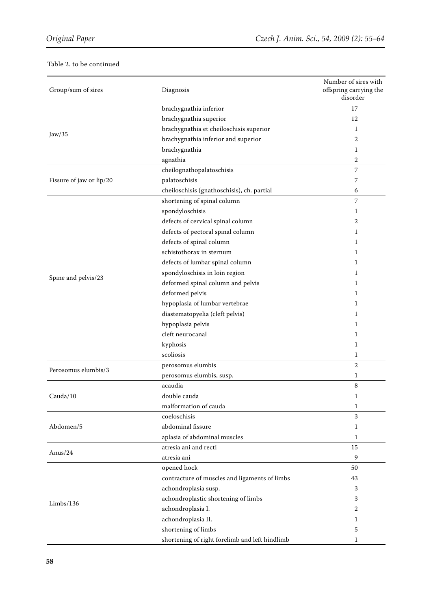## Table 2. to be continued

| Group/sum of sires       | Diagnosis                                      | Number of sires with<br>offspring carrying the<br>disorder |
|--------------------------|------------------------------------------------|------------------------------------------------------------|
|                          | brachygnathia inferior                         | 17                                                         |
|                          | brachygnathia superior                         | 12                                                         |
|                          | brachygnathia et cheiloschisis superior        | 1                                                          |
| Jaw/35                   | brachygnathia inferior and superior            | $\overline{2}$                                             |
|                          | brachygnathia                                  | 1                                                          |
|                          | agnathia                                       | 2                                                          |
|                          | cheilognathopalatoschisis                      | 7                                                          |
| Fissure of jaw or lip/20 | palatoschisis                                  | 7                                                          |
|                          | cheiloschisis (gnathoschisis), ch. partial     | 6                                                          |
|                          | shortening of spinal column                    | 7                                                          |
|                          | spondyloschisis                                | 1                                                          |
|                          | defects of cervical spinal column              | 2                                                          |
|                          | defects of pectoral spinal column              | 1                                                          |
|                          | defects of spinal column                       | 1                                                          |
|                          | schistothorax in sternum                       | 1                                                          |
|                          | defects of lumbar spinal column                | 1                                                          |
|                          | spondyloschisis in loin region                 | 1                                                          |
| Spine and pelvis/23      | deformed spinal column and pelvis              | 1                                                          |
|                          | deformed pelvis                                | 1                                                          |
|                          | hypoplasia of lumbar vertebrae                 | 1                                                          |
|                          | diastematopyelia (cleft pelvis)                | 1                                                          |
|                          | hypoplasia pelvis                              | 1                                                          |
|                          | cleft neurocanal                               | 1                                                          |
|                          | kyphosis                                       | 1                                                          |
|                          | scoliosis                                      | 1                                                          |
|                          | perosomus elumbis                              | $\sqrt{2}$                                                 |
| Perosomus elumbis/3      | perosomus elumbis, susp.                       | 1                                                          |
|                          | acaudia                                        | 8                                                          |
| Cauda/10                 | double cauda                                   | 1                                                          |
|                          | malformation of cauda                          | 1                                                          |
|                          | coeloschisis                                   | $\,$ 3 $\,$                                                |
| Abdomen/5                | abdominal fissure                              | 1                                                          |
|                          | aplasia of abdominal muscles                   | 1                                                          |
|                          | atresia ani and recti                          | 15                                                         |
| Anus/24                  | atresia ani                                    | $\overline{9}$                                             |
|                          | opened hock                                    | 50                                                         |
|                          | contracture of muscles and ligaments of limbs  | 43                                                         |
| Limbs/136                | achondroplasia susp.                           | 3                                                          |
|                          | achondroplastic shortening of limbs            | 3                                                          |
|                          | achondroplasia I.                              | 2                                                          |
|                          |                                                |                                                            |
|                          | achondroplasia II.                             | 1                                                          |
|                          | shortening of limbs                            | 5                                                          |
|                          | shortening of right forelimb and left hindlimb | 1                                                          |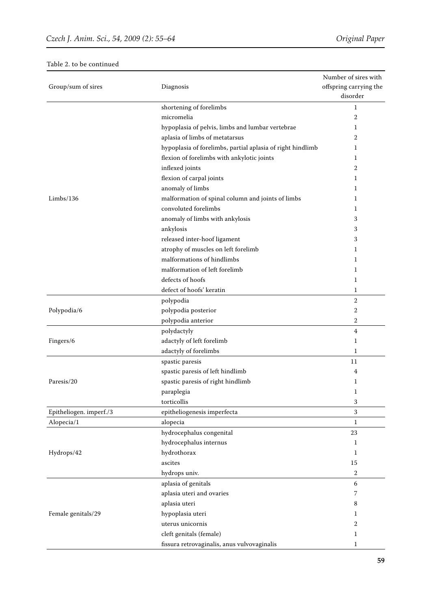### Table 2. to be continued

| Group/sum of sires<br>Diagnosis |                                                            | Number of sires with<br>offspring carrying the<br>disorder |
|---------------------------------|------------------------------------------------------------|------------------------------------------------------------|
|                                 | shortening of forelimbs                                    | 1                                                          |
|                                 | micromelia                                                 | 2                                                          |
|                                 | hypoplasia of pelvis, limbs and lumbar vertebrae           | 1                                                          |
|                                 | aplasia of limbs of metatarsus                             | 2                                                          |
|                                 | hypoplasia of forelimbs, partial aplasia of right hindlimb | 1                                                          |
|                                 | flexion of forelimbs with ankylotic joints                 | 1                                                          |
|                                 | inflexed joints                                            | $\overline{2}$                                             |
|                                 | flexion of carpal joints                                   | 1                                                          |
|                                 | anomaly of limbs                                           | 1                                                          |
| Limbs/136                       | malformation of spinal column and joints of limbs          | 1                                                          |
|                                 | convoluted forelimbs                                       | 1                                                          |
|                                 | anomaly of limbs with ankylosis                            | 3                                                          |
|                                 | ankylosis                                                  | 3                                                          |
|                                 | released inter-hoof ligament                               | 3                                                          |
|                                 | atrophy of muscles on left forelimb                        | 1                                                          |
|                                 | malformations of hindlimbs                                 | 1                                                          |
|                                 | malformation of left forelimb                              | 1                                                          |
|                                 | defects of hoofs                                           | 1                                                          |
|                                 | defect of hoofs' keratin                                   | 1                                                          |
|                                 | polypodia                                                  | $\mathbf{2}$                                               |
| Polypodia/6                     | polypodia posterior                                        | 2                                                          |
|                                 | polypodia anterior                                         | 2                                                          |
|                                 | polydactyly                                                | $\overline{4}$                                             |
| Fingers/6                       | adactyly of left forelimb                                  | 1                                                          |
|                                 | adactyly of forelimbs                                      | 1                                                          |
|                                 | spastic paresis                                            | 11                                                         |
|                                 | spastic paresis of left hindlimb                           | 4                                                          |
| Paresis/20                      | spastic paresis of right hindlimb                          | 1                                                          |
|                                 | paraplegia                                                 | 1                                                          |
|                                 | torticollis                                                | 3                                                          |
| Epitheliogen. imperf./3         | epitheliogenesis imperfecta                                | $\,$ 3 $\,$                                                |
| Alopecia/1                      | alopecia                                                   | $\mathbf{1}$                                               |
|                                 | hydrocephalus congenital                                   | $23\,$                                                     |
|                                 | hydrocephalus internus                                     | 1                                                          |
| Hydrops/42                      | hydrothorax                                                | 1                                                          |
|                                 | ascites                                                    | $15\,$                                                     |
|                                 | hydrops univ.                                              | $\overline{2}$                                             |
|                                 | aplasia of genitals                                        | 6                                                          |
|                                 | aplasia uteri and ovaries                                  | 7                                                          |
|                                 | aplasia uteri                                              | $\,8\,$                                                    |
| Female genitals/29              | hypoplasia uteri                                           | 1                                                          |
|                                 | uterus unicornis                                           | 2                                                          |
|                                 | cleft genitals (female)                                    | 1                                                          |
|                                 | fissura retrovaginalis, anus vulvovaginalis                | 1                                                          |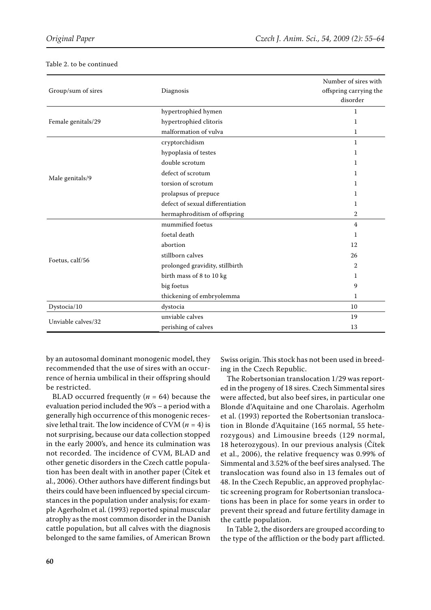| Group/sum of sires | Diagnosis                        | Number of sires with<br>offspring carrying the<br>disorder |
|--------------------|----------------------------------|------------------------------------------------------------|
|                    | hypertrophied hymen              | $\mathbf{1}$                                               |
| Female genitals/29 | hypertrophied clitoris           | 1                                                          |
|                    | malformation of vulva            | 1                                                          |
|                    | cryptorchidism                   | $\mathbf{1}$                                               |
|                    | hypoplasia of testes             | 1                                                          |
|                    | double scrotum                   | 1                                                          |
| Male genitals/9    | defect of scrotum                | 1                                                          |
|                    | torsion of scrotum               | 1                                                          |
|                    | prolapsus of prepuce             | 1                                                          |
|                    | defect of sexual differentiation | 1                                                          |
|                    | hermaphroditism of offspring     | 2                                                          |
|                    | mummified foetus                 | $\overline{4}$                                             |
|                    | foetal death                     | 1                                                          |
|                    | abortion                         | 12                                                         |
| Foetus, calf/56    | stillborn calves                 | 26                                                         |
|                    | prolonged gravidity, stillbirth  | 2                                                          |
|                    | birth mass of 8 to 10 kg         | 1                                                          |
|                    | big foetus                       | 9                                                          |
|                    | thickening of embryolemma        | $\mathbf{1}$                                               |
| Dystocia/10        | dystocia                         | 10                                                         |
| Unviable calves/32 | unviable calves                  | 19                                                         |
|                    | perishing of calves              | 13                                                         |

Table 2. to be continued

by an autosomal dominant monogenic model, they recommended that the use of sires with an occurrence of hernia umbilical in their offspring should be restricted.

BLAD occurred frequently  $(n = 64)$  because the evaluation period included the 90's – a period with a generally high occurrence of this monogenic recessive lethal trait. The low incidence of CVM ( $n = 4$ ) is not surprising, because our data collection stopped in the early 2000's, and hence its culmination was not recorded. The incidence of CVM, BLAD and other genetic disorders in the Czech cattle population has been dealt with in another paper (Čítek et al., 2006). Other authors have different findings but theirs could have been influenced by special circumstances in the population under analysis; for example Agerholm et al. (1993) reported spinal muscular atrophy as the most common disorder in the Danish cattle population, but all calves with the diagnosis belonged to the same families, of American Brown

Swiss origin. This stock has not been used in breeding in the Czech Republic.

The Robertsonian translocation 1/29 was reported in the progeny of 18 sires. Czech Simmental sires were affected, but also beef sires, in particular one Blonde d'Aquitaine and one Charolais. Agerholm et al. (1993) reported the Robertsonian translocation in Blonde d'Aquitaine (165 normal, 55 heterozygous) and Limousine breeds (129 normal, 18 heterozygous). In our previous analysis (Čítek et al., 2006), the relative frequency was 0.99% of Simmental and 3.52% of the beef sires analysed. The translocation was found also in 13 females out of 48. In the Czech Republic, an approved prophylactic screening program for Robertsonian translocations has been in place for some years in order to prevent their spread and future fertility damage in the cattle population.

In Table 2, the disorders are grouped according to the type of the affliction or the body part afflicted.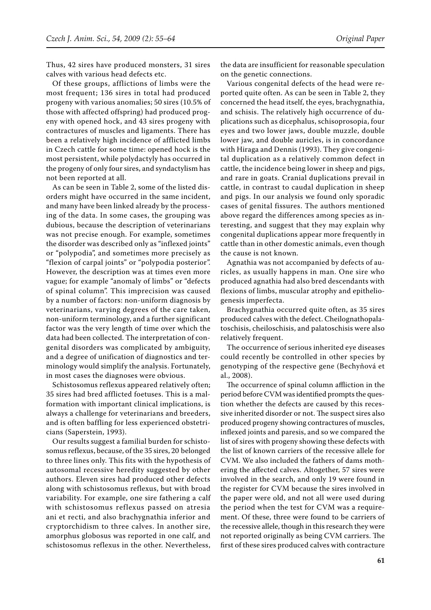Thus, 42 sires have produced monsters, 31 sires calves with various head defects etc.

Of these groups, afflictions of limbs were the most frequent; 136 sires in total had produced progeny with various anomalies; 50 sires (10.5% of those with affected offspring) had produced progeny with opened hock, and 43 sires progeny with contractures of muscles and ligaments. There has been a relatively high incidence of afflicted limbs in Czech cattle for some time: opened hock is the most persistent, while polydactyly has occurred in the progeny of only four sires, and syndactylism has not been reported at all.

As can be seen in Table 2, some of the listed disorders might have occurred in the same incident, and many have been linked already by the processing of the data. In some cases, the grouping was dubious, because the description of veterinarians was not precise enough. For example, sometimes the disorder was described only as "inflexed joints" or "polypodia", and sometimes more precisely as "flexion of carpal joints" or "polypodia posterior". However, the description was at times even more vague; for example "anomaly of limbs" or "defects of spinal column". This imprecision was caused by a number of factors: non-uniform diagnosis by veterinarians, varying degrees of the care taken, non-uniform terminology, and a further significant factor was the very length of time over which the data had been collected. The interpretation of congenital disorders was complicated by ambiguity, and a degree of unification of diagnostics and terminology would simplify the analysis. Fortunately, in most cases the diagnoses were obvious.

Schistosomus reflexus appeared relatively often; 35 sires had bred afflicted foetuses. This is a malformation with important clinical implications, is always a challenge for veterinarians and breeders, and is often baffling for less experienced obstetricians (Saperstein, 1993).

Our results suggest a familial burden for schistosomus reflexus, because, of the 35 sires, 20 belonged to three lines only. This fits with the hypothesis of autosomal recessive heredity suggested by other authors. Eleven sires had produced other defects along with schistosomus reflexus, but with broad variability. For example, one sire fathering a calf with schistosomus reflexus passed on atresia ani et recti, and also brachygnathia inferior and cryptorchidism to three calves. In another sire, amorphus globosus was reported in one calf, and schistosomus reflexus in the other. Nevertheless, the data are insufficient for reasonable speculation on the genetic connections.

Various congenital defects of the head were reported quite often. As can be seen in Table 2, they concerned the head itself, the eyes, brachygnathia, and schisis. The relatively high occurrence of duplications such as dicephalus, schisoprosopia, four eyes and two lower jaws, double muzzle, double lower jaw, and double auricles, is in concordance with Hiraga and Dennis (1993). They give congenital duplication as a relatively common defect in cattle, the incidence being lower in sheep and pigs, and rare in goats. Cranial duplications prevail in cattle, in contrast to caudal duplication in sheep and pigs. In our analysis we found only sporadic cases of genital fissures. The authors mentioned above regard the differences among species as interesting, and suggest that they may explain why congenital duplications appear more frequently in cattle than in other domestic animals, even though the cause is not known.

Agnathia was not accompanied by defects of auricles, as usually happens in man. One sire who produced agnathia had also bred descendants with flexions of limbs, muscular atrophy and epitheliogenesis imperfecta.

Brachygnathia occurred quite often, as 35 sires produced calves with the defect. Cheilognathopalatoschisis, cheiloschisis, and palatoschisis were also relatively frequent.

The occurrence of serious inherited eye diseases could recently be controlled in other species by genotyping of the respective gene (Bechyňová et al., 2008).

The occurrence of spinal column affliction in the period before CVM was identified prompts the question whether the defects are caused by this recessive inherited disorder or not. The suspect sires also produced progeny showing contractures of muscles, inflexed joints and paresis, and so we compared the list of sires with progeny showing these defects with the list of known carriers of the recessive allele for CVM. We also included the fathers of dams mothering the affected calves. Altogether, 57 sires were involved in the search, and only 19 were found in the register for CVM because the sires involved in the paper were old, and not all were used during the period when the test for CVM was a requirement. Of these, three were found to be carriers of the recessive allele, though in this research they were not reported originally as being CVM carriers. The first of these sires produced calves with contracture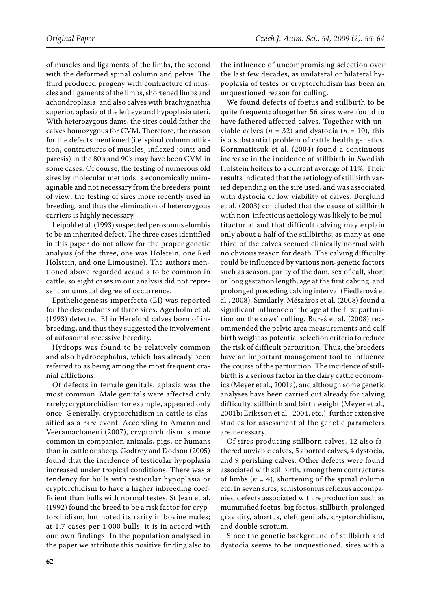of muscles and ligaments of the limbs, the second with the deformed spinal column and pelvis. The third produced progeny with contracture of muscles and ligaments of the limbs, shortened limbs and achondroplasia, and also calves with brachygnathia superior, aplasia of the left eye and hypoplasia uteri. With heterozygous dams, the sires could father the calves homozygous for CVM. Therefore, the reason for the defects mentioned (i.e. spinal column affliction, contractures of muscles, inflexed joints and paresis) in the 80's and 90's may have been CVM in some cases. Of course, the testing of numerous old sires by molecular methods is economically unimaginable and not necessary from the breeders' point of view; the testing of sires more recently used in breeding, and thus the elimination of heterozygous carriers is highly necessary.

Leipold et al. (1993) suspected perosomus elumbis to be an inherited defect. The three cases identified in this paper do not allow for the proper genetic analysis (of the three, one was Holstein, one Red Holstein, and one Limousine). The authors mentioned above regarded acaudia to be common in cattle, so eight cases in our analysis did not represent an unusual degree of occurrence.

Epitheliogenesis imperfecta (EI) was reported for the descendants of three sires. Agerholm et al. (1993) detected EI in Hereford calves born of inbreeding, and thus they suggested the involvement of autosomal recessive heredity.

Hydrops was found to be relatively common and also hydrocephalus, which has already been referred to as being among the most frequent cranial afflictions.

Of defects in female genitals, aplasia was the most common. Male genitals were affected only rarely; cryptorchidism for example, appeared only once. Generally, cryptorchidism in cattle is classified as a rare event. According to Amann and Veeramachaneni (2007), cryptorchidism is more common in companion animals, pigs, or humans than in cattle or sheep. Godfrey and Dodson (2005) found that the incidence of testicular hypoplasia increased under tropical conditions. There was a tendency for bulls with testicular hypoplasia or cryptorchidism to have a higher inbreeding coefficient than bulls with normal testes. St Jean et al. (1992) found the breed to be a risk factor for cryptorchidism, but noted its rarity in bovine males; at 1.7 cases per 1 000 bulls, it is in accord with our own findings. In the population analysed in the paper we attribute this positive finding also to

the influence of uncompromising selection over the last few decades, as unilateral or bilateral hypoplasia of testes or cryptorchidism has been an unquestioned reason for culling.

We found defects of foetus and stillbirth to be quite frequent; altogether 56 sires were found to have fathered affected calves. Together with unviable calves ( $n = 32$ ) and dystocia ( $n = 10$ ), this is a substantial problem of cattle health genetics. Kornmatitsuk et al. (2004) found a continuous increase in the incidence of stillbirth in Swedish Holstein heifers to a current average of 11%. Their results indicated that the aetiology of stillbirth varied depending on the sire used, and was associated with dystocia or low viability of calves. Berglund et al. (2003) concluded that the cause of stillbirth with non-infectious aetiology was likely to be multifactorial and that difficult calving may explain only about a half of the stillbirths; as many as one third of the calves seemed clinically normal with no obvious reason for death. The calving difficulty could be influenced by various non-genetic factors such as season, parity of the dam, sex of calf, short or long gestation length, age at the first calving, and prolonged preceding calving interval (Fiedlerová et al., 2008). Similarly, Mészáros et al. (2008) found a significant influence of the age at the first parturition on the cows' culling. Bureš et al. (2008) recommended the pelvic area measurements and calf birth weight as potential selection criteria to reduce the risk of difficult parturition. Thus, the breeders have an important management tool to influence the course of the parturition. The incidence of stillbirth is a serious factor in the dairy cattle economics (Meyer et al., 2001a), and although some genetic analyses have been carried out already for calving difficulty, stillbirth and birth weight (Meyer et al., 2001b; Eriksson et al., 2004, etc.), further extensive studies for assessment of the genetic parameters are necessary.

Of sires producing stillborn calves, 12 also fathered unviable calves, 5 aborted calves, 4 dystocia, and 9 perishing calves. Other defects were found associated with stillbirth, among them contractures of limbs  $(n = 4)$ , shortening of the spinal column etc. In seven sires, schistosomus reflexus accompanied defects associated with reproduction such as mummified foetus, big foetus, stillbirth, prolonged gravidity, abortus, cleft genitals, cryptorchidism, and double scrotum.

Since the genetic background of stillbirth and dystocia seems to be unquestioned, sires with a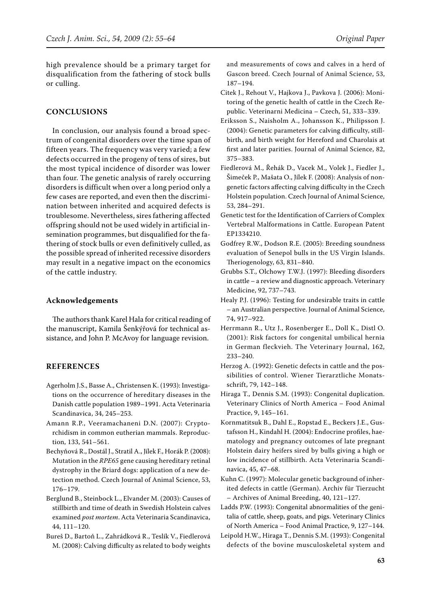high prevalence should be a primary target for disqualification from the fathering of stock bulls or culling.

## **conclusions**

In conclusion, our analysis found a broad spectrum of congenital disorders over the time span of fifteen years. The frequency was very varied; a few defects occurred in the progeny of tens of sires, but the most typical incidence of disorder was lower than four. The genetic analysis of rarely occurring disorders is difficult when over a long period only a few cases are reported, and even then the discrimination between inherited and acquired defects is troublesome. Nevertheless, sires fathering affected offspring should not be used widely in artificial insemination programmes, but disqualified for the fathering of stock bulls or even definitively culled, as the possible spread of inherited recessive disorders may result in a negative impact on the economics of the cattle industry.

#### **Acknowledgements**

The authors thank Karel Hala for critical reading of the manuscript, Kamila Šenkýřová for technical assistance, and John P. McAvoy for language revision.

#### **References**

- Agerholm J.S., Basse A., Christensen K. (1993): Investigations on the occurrence of hereditary diseases in the Danish cattle population 1989–1991. Acta Veterinaria Scandinavica, 34, 245–253.
- Amann R.P., Veeramachaneni D.N. (2007): Cryptorchidism in common eutherian mammals. Reproduction, 133, 541–561.
- Bechyňová R., Dostál J., Stratil A., Jílek F., Horák P. (2008): Mutation in the *RPE65* gene causing hereditary retinal dystrophy in the Briard dogs: application of a new detection method. Czech Journal of Animal Science, 53, 176–179.
- Berglund B., Steinbock L., Elvander M. (2003): Causes of stillbirth and time of death in Swedish Holstein calves examined *post mortem*. Acta Veterinaria Scandinavica, 44, 111–120.
- Bureš D., Bartoň L., Zahrádková R., Teslík V., Fiedlerová M. (2008): Calving difficulty as related to body weights

and measurements of cows and calves in a herd of Gascon breed. Czech Journal of Animal Science, 53, 187–194.

- Citek J., Rehout V., Hajkova J., Pavkova J. (2006): Monitoring of the genetic health of cattle in the Czech Republic. Veterinarni Medicina – Czech, 51, 333–339.
- Eriksson S., Naisholm A., Johansson K., Philipsson J. (2004): Genetic parameters for calving difficulty, stillbirth, and birth weight for Hereford and Charolais at first and later parities. Journal of Animal Science, 82, 375–383.
- Fiedlerová M., Řehák D., Vacek M., Volek J., Fiedler J., Šimeček P., Mašata O., Jílek F. (2008): Analysis of nongenetic factors affecting calving difficulty in the Czech Holstein population. Czech Journal of Animal Science, 53, 284–291.
- Genetic test for the Identification of Carriers of Complex Vertebral Malformations in Cattle. European Patent EP1334210.
- Godfrey R.W., Dodson R.E. (2005): Breeding soundness evaluation of Senepol bulls in the US Virgin Islands. Theriogenology, 63, 831–840.
- Grubbs S.T., Olchowy T.W.J. (1997): Bleeding disorders in cattle – a review and diagnostic approach. Veterinary Medicine, 92, 737–743.
- Healy P.J. (1996): Testing for undesirable traits in cattle – an Australian perspective. Journal of Animal Science, 74, 917–922.
- Herrmann R., Utz J., Rosenberger E., Doll K., Distl O. (2001): Risk factors for congenital umbilical hernia in German fleckvieh. The Veterinary Journal, 162, 233–240.
- Herzog A. (1992): Genetic defects in cattle and the possibilities of control. Wiener Tierarztliche Monatsschrift, 79, 142–148.
- Hiraga T., Dennis S.M. (1993): Congenital duplication. Veterinary Clinics of North America – Food Animal Practice, 9, 145–161.
- Kornmatitsuk B., Dahl E., Ropstad E., Beckers J.E., Gustafsson H., Kindahl H. (2004): Endocrine profiles, haematology and pregnancy outcomes of late pregnant Holstein dairy heifers sired by bulls giving a high or low incidence of stillbirth. Acta Veterinaria Scandinavica, 45, 47–68.
- Kuhn C. (1997): Molecular genetic background of inherited defects in cattle (German). Archiv für Tierzucht – Archives of Animal Breeding, 40, 121–127.
- Ladds P.W. (1993): Congenital abnormalities of the genitalia of cattle, sheep, goats, and pigs. Veterinary Clinics of North America – Food Animal Practice, 9, 127–144.
- Leipold H.W., Hiraga T., Dennis S.M. (1993): Congenital defects of the bovine musculoskeletal system and